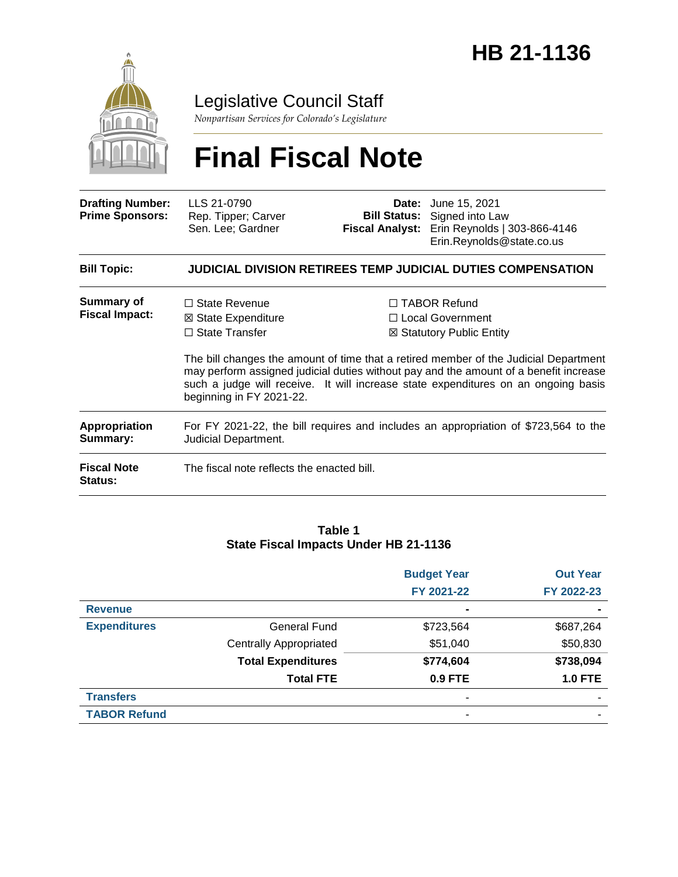

### Legislative Council Staff

*Nonpartisan Services for Colorado's Legislature*

# **Final Fiscal Note**

| <b>Drafting Number:</b><br><b>Prime Sponsors:</b> | LLS 21-0790<br>Rep. Tipper; Carver<br>Sen. Lee; Gardner                                                     | <b>Bill Status:</b><br>Fiscal Analyst: | <b>Date:</b> June 15, 2021<br>Signed into Law<br>Erin Reynolds   303-866-4146<br>Erin.Reynolds@state.co.us                                                                                                                                                                                                                                    |  |  |
|---------------------------------------------------|-------------------------------------------------------------------------------------------------------------|----------------------------------------|-----------------------------------------------------------------------------------------------------------------------------------------------------------------------------------------------------------------------------------------------------------------------------------------------------------------------------------------------|--|--|
| <b>Bill Topic:</b>                                | <b>JUDICIAL DIVISION RETIREES TEMP JUDICIAL DUTIES COMPENSATION</b>                                         |                                        |                                                                                                                                                                                                                                                                                                                                               |  |  |
| <b>Summary of</b><br><b>Fiscal Impact:</b>        | $\Box$ State Revenue<br>⊠ State Expenditure<br>$\Box$ State Transfer<br>beginning in FY 2021-22.            |                                        | $\Box$ TABOR Refund<br>□ Local Government<br>⊠ Statutory Public Entity<br>The bill changes the amount of time that a retired member of the Judicial Department<br>may perform assigned judicial duties without pay and the amount of a benefit increase<br>such a judge will receive. It will increase state expenditures on an ongoing basis |  |  |
| Appropriation<br>Summary:                         | For FY 2021-22, the bill requires and includes an appropriation of \$723,564 to the<br>Judicial Department. |                                        |                                                                                                                                                                                                                                                                                                                                               |  |  |
| <b>Fiscal Note</b><br><b>Status:</b>              | The fiscal note reflects the enacted bill.                                                                  |                                        |                                                                                                                                                                                                                                                                                                                                               |  |  |

#### **Table 1 State Fiscal Impacts Under HB 21-1136**

|                     |                               | <b>Budget Year</b> | <b>Out Year</b> |
|---------------------|-------------------------------|--------------------|-----------------|
|                     |                               | FY 2021-22         | FY 2022-23      |
| <b>Revenue</b>      |                               |                    | $\blacksquare$  |
| <b>Expenditures</b> | <b>General Fund</b>           | \$723,564          | \$687,264       |
|                     | <b>Centrally Appropriated</b> | \$51,040           | \$50,830        |
|                     | <b>Total Expenditures</b>     | \$774,604          | \$738,094       |
|                     | <b>Total FTE</b>              | 0.9 FTE            | <b>1.0 FTE</b>  |
| <b>Transfers</b>    |                               |                    |                 |
| <b>TABOR Refund</b> |                               |                    |                 |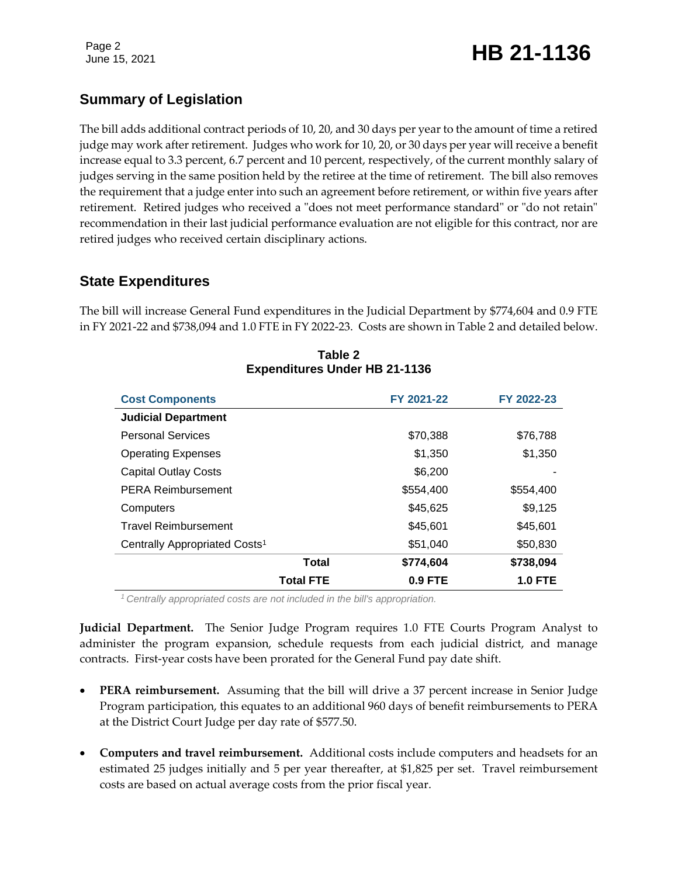### Page 2<br>June 15, 2021 **HB 21-1136**

### **Summary of Legislation**

The bill adds additional contract periods of 10, 20, and 30 days per year to the amount of time a retired judge may work after retirement. Judges who work for 10, 20, or 30 days per year will receive a benefit increase equal to 3.3 percent, 6.7 percent and 10 percent, respectively, of the current monthly salary of judges serving in the same position held by the retiree at the time of retirement. The bill also removes the requirement that a judge enter into such an agreement before retirement, or within five years after retirement. Retired judges who received a "does not meet performance standard" or "do not retain" recommendation in their last judicial performance evaluation are not eligible for this contract, nor are retired judges who received certain disciplinary actions.

### **State Expenditures**

The bill will increase General Fund expenditures in the Judicial Department by \$774,604 and 0.9 FTE in FY 2021-22 and \$738,094 and 1.0 FTE in FY 2022-23. Costs are shown in Table 2 and detailed below.

| <b>Cost Components</b>                    | FY 2021-22 | FY 2022-23 |
|-------------------------------------------|------------|------------|
| <b>Judicial Department</b>                |            |            |
| <b>Personal Services</b>                  | \$70,388   | \$76,788   |
| <b>Operating Expenses</b>                 | \$1,350    | \$1,350    |
| <b>Capital Outlay Costs</b>               | \$6,200    |            |
| <b>PERA Reimbursement</b>                 | \$554,400  | \$554,400  |
| Computers                                 | \$45,625   | \$9,125    |
| <b>Travel Reimbursement</b>               | \$45,601   | \$45,601   |
| Centrally Appropriated Costs <sup>1</sup> | \$51,040   | \$50,830   |
| Total                                     | \$774,604  | \$738,094  |
| <b>Total FTE</b>                          | $0.9$ FTE  | 1.0 FTE    |

**Table 2 Expenditures Under HB 21-1136**

*<sup>1</sup>Centrally appropriated costs are not included in the bill's appropriation.*

**Judicial Department.** The Senior Judge Program requires 1.0 FTE Courts Program Analyst to administer the program expansion, schedule requests from each judicial district, and manage contracts. First-year costs have been prorated for the General Fund pay date shift.

- **PERA reimbursement.** Assuming that the bill will drive a 37 percent increase in Senior Judge Program participation, this equates to an additional 960 days of benefit reimbursements to PERA at the District Court Judge per day rate of \$577.50.
- **Computers and travel reimbursement.** Additional costs include computers and headsets for an estimated 25 judges initially and 5 per year thereafter, at \$1,825 per set. Travel reimbursement costs are based on actual average costs from the prior fiscal year.